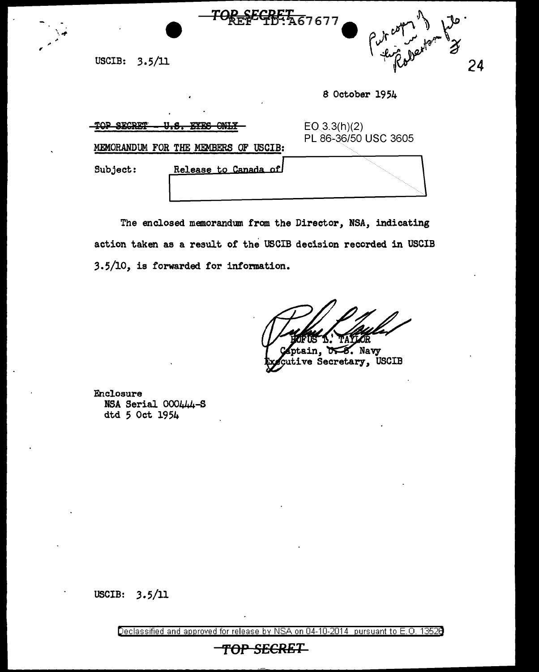

USCIB: 3.5/11

 $\frac{1}{2}$ 

 $\cdot$  ,  $\cdot$ 

8 October 1954

| <b>MJODA</b><br><b>MUD</b><br><b>CNIT TE</b><br><b>TVTC</b><br>MEMORANDUM FOR THE MEMBERS OF USCIB: |  | EO(3.3(h)(2)<br>PL 86-36/50 USC 3605 |
|-----------------------------------------------------------------------------------------------------|--|--------------------------------------|
|                                                                                                     |  |                                      |
|                                                                                                     |  |                                      |

<del>EGBET 6</del>7677

The enclosed memorandum from the Director, NSA, indicating action taken as a result of the USCIB decision recorded in USCIB 3.5/10, is forwarded for information.

**DES.** Navy tain. ve Secretary, USCIB

Enclosure NSA Serial 000444-S dtd 5 Oct 1954

USCIB: 3.5/11

Declassified and approved for release by NSA on 04-10-2014 pursuant to E. 0. 1352B

*TOP* SECRET